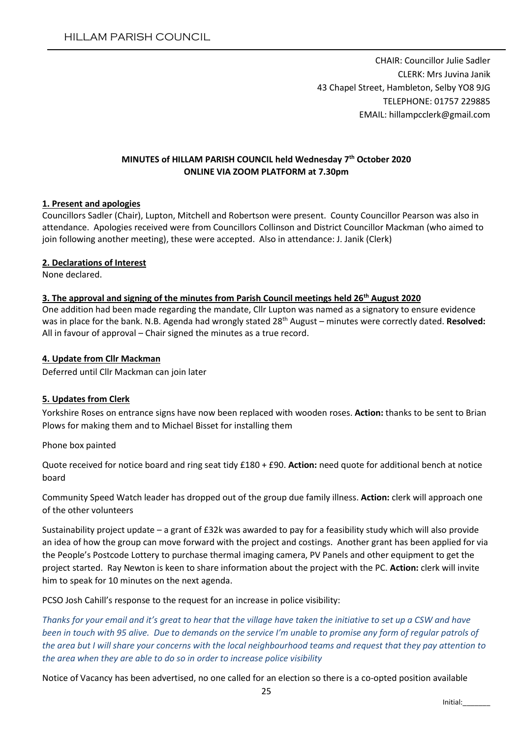CHAIR: Councillor Julie Sadler CLERK: Mrs Juvina Janik 43 Chapel Street, Hambleton, Selby YO8 9JG TELEPHONE: 01757 229885 EMAIL: hillampcclerk@gmail.com

## **MINUTES of HILLAM PARISH COUNCIL held Wednesday 7th October 2020 ONLINE VIA ZOOM PLATFORM at 7.30pm**

#### **1. Present and apologies**

Councillors Sadler (Chair), Lupton, Mitchell and Robertson were present. County Councillor Pearson was also in attendance. Apologies received were from Councillors Collinson and District Councillor Mackman (who aimed to join following another meeting), these were accepted. Also in attendance: J. Janik (Clerk)

#### **2. Declarations of Interest**

None declared.

#### **3. The approval and signing of the minutes from Parish Council meetings held 26th August 2020**

One addition had been made regarding the mandate, Cllr Lupton was named as a signatory to ensure evidence was in place for the bank. N.B. Agenda had wrongly stated 28th August – minutes were correctly dated. **Resolved:** All in favour of approval – Chair signed the minutes as a true record.

#### **4. Update from Cllr Mackman**

Deferred until Cllr Mackman can join later

## **5. Updates from Clerk**

Yorkshire Roses on entrance signs have now been replaced with wooden roses. **Action:** thanks to be sent to Brian Plows for making them and to Michael Bisset for installing them

Phone box painted

Quote received for notice board and ring seat tidy £180 + £90. **Action:** need quote for additional bench at notice board

Community Speed Watch leader has dropped out of the group due family illness. **Action:** clerk will approach one of the other volunteers

Sustainability project update – a grant of £32k was awarded to pay for a feasibility study which will also provide an idea of how the group can move forward with the project and costings. Another grant has been applied for via the People's Postcode Lottery to purchase thermal imaging camera, PV Panels and other equipment to get the project started. Ray Newton is keen to share information about the project with the PC. **Action:** clerk will invite him to speak for 10 minutes on the next agenda.

PCSO Josh Cahill's response to the request for an increase in police visibility:

*Thanks for your email and it's great to hear that the village have taken the initiative to set up a CSW and have been in touch with 95 alive. Due to demands on the service I'm unable to promise any form of regular patrols of the area but I will share your concerns with the local neighbourhood teams and request that they pay attention to the area when they are able to do so in order to increase police visibility*

Notice of Vacancy has been advertised, no one called for an election so there is a co-opted position available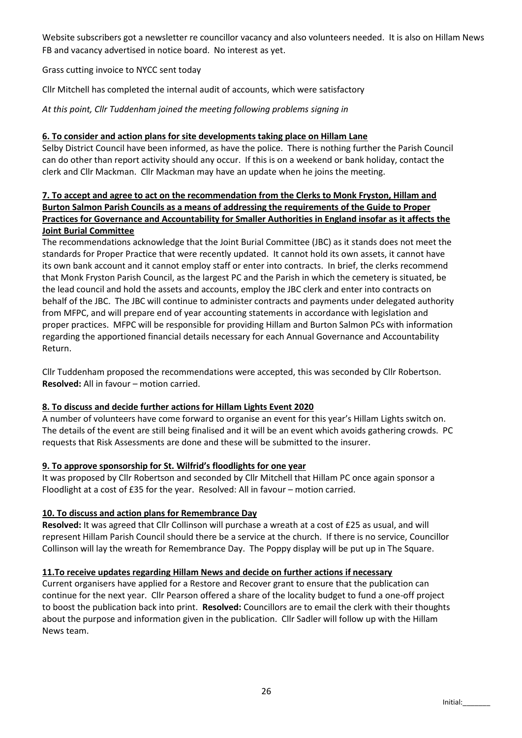Website subscribers got a newsletter re councillor vacancy and also volunteers needed. It is also on Hillam News FB and vacancy advertised in notice board. No interest as yet.

Grass cutting invoice to NYCC sent today

Cllr Mitchell has completed the internal audit of accounts, which were satisfactory

*At this point, Cllr Tuddenham joined the meeting following problems signing in*

#### **6. To consider and action plans for site developments taking place on Hillam Lane**

Selby District Council have been informed, as have the police. There is nothing further the Parish Council can do other than report activity should any occur. If this is on a weekend or bank holiday, contact the clerk and Cllr Mackman. Cllr Mackman may have an update when he joins the meeting.

## **7. To accept and agree to act on the recommendation from the Clerks to Monk Fryston, Hillam and Burton Salmon Parish Councils as a means of addressing the requirements of the Guide to Proper Practices for Governance and Accountability for Smaller Authorities in England insofar as it affects the Joint Burial Committee**

The recommendations acknowledge that the Joint Burial Committee (JBC) as it stands does not meet the standards for Proper Practice that were recently updated. It cannot hold its own assets, it cannot have its own bank account and it cannot employ staff or enter into contracts. In brief, the clerks recommend that Monk Fryston Parish Council, as the largest PC and the Parish in which the cemetery is situated, be the lead council and hold the assets and accounts, employ the JBC clerk and enter into contracts on behalf of the JBC. The JBC will continue to administer contracts and payments under delegated authority from MFPC, and will prepare end of year accounting statements in accordance with legislation and proper practices. MFPC will be responsible for providing Hillam and Burton Salmon PCs with information regarding the apportioned financial details necessary for each Annual Governance and Accountability Return.

Cllr Tuddenham proposed the recommendations were accepted, this was seconded by Cllr Robertson. **Resolved:** All in favour – motion carried.

#### **8. To discuss and decide further actions for Hillam Lights Event 2020**

A number of volunteers have come forward to organise an event for this year's Hillam Lights switch on. The details of the event are still being finalised and it will be an event which avoids gathering crowds. PC requests that Risk Assessments are done and these will be submitted to the insurer.

## **9. To approve sponsorship for St. Wilfrid's floodlights for one year**

It was proposed by Cllr Robertson and seconded by Cllr Mitchell that Hillam PC once again sponsor a Floodlight at a cost of £35 for the year. Resolved: All in favour – motion carried.

#### **10. To discuss and action plans for Remembrance Day**

**Resolved:** It was agreed that Cllr Collinson will purchase a wreath at a cost of £25 as usual, and will represent Hillam Parish Council should there be a service at the church. If there is no service, Councillor Collinson will lay the wreath for Remembrance Day. The Poppy display will be put up in The Square.

#### **11.To receive updates regarding Hillam News and decide on further actions if necessary**

Current organisers have applied for a Restore and Recover grant to ensure that the publication can continue for the next year. Cllr Pearson offered a share of the locality budget to fund a one-off project to boost the publication back into print. **Resolved:** Councillors are to email the clerk with their thoughts about the purpose and information given in the publication. Cllr Sadler will follow up with the Hillam News team.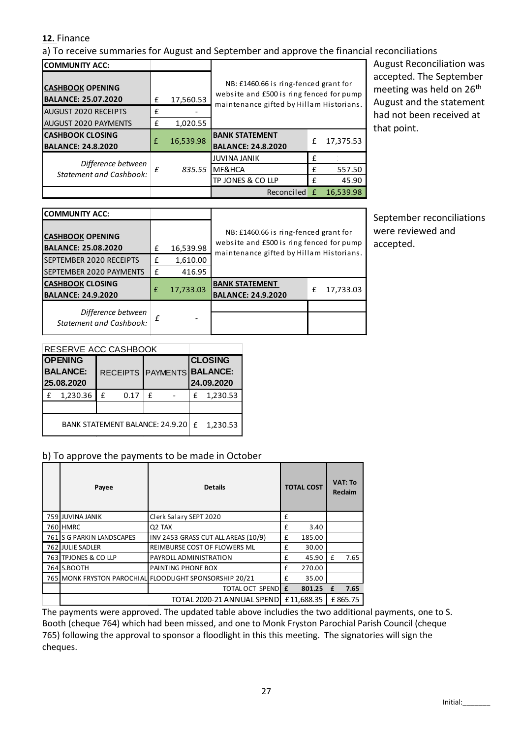# **12.** Finance

a) To receive summaries for August and September and approve the financial reconciliations

| <b>COMMUNITY ACC:</b>                                 |   |           |                                                                                                                               |              |           | ŀ |  |  |
|-------------------------------------------------------|---|-----------|-------------------------------------------------------------------------------------------------------------------------------|--------------|-----------|---|--|--|
| <b>CASHBOOK OPENING</b><br><b>BALANCE: 25.07.2020</b> | £ | 17,560.53 | NB: £1460.66 is ring-fenced grant for<br>website and £500 is ring fenced for pump<br>maintenance gifted by Hillam Historians. |              |           |   |  |  |
| AUGUST 2020 RECEIPTS                                  | f |           |                                                                                                                               |              |           | ŀ |  |  |
| <b>AUGUST 2020 PAYMENTS</b>                           | £ | 1,020.55  |                                                                                                                               |              |           |   |  |  |
| <b>CASHBOOK CLOSING</b><br><b>BALANCE: 24.8.2020</b>  | f | 16,539.98 | <b>BANK STATEMENT</b><br><b>BALANCE: 24.8.2020</b>                                                                            | f            | 17,375.53 |   |  |  |
| Difference between                                    |   |           | <b>JUVINA JANIK</b>                                                                                                           | f            |           |   |  |  |
| <b>Statement and Cashbook:</b>                        | f | 835.55    | MF&HCA                                                                                                                        | f            | 557.50    |   |  |  |
|                                                       |   |           | TP JONES & CO LLP                                                                                                             | f            | 45.90     |   |  |  |
|                                                       |   |           | Reconciled                                                                                                                    | $\mathbf{f}$ | 16,539.98 |   |  |  |

August Reconciliation was accepted. The September meeting was held on 26<sup>th</sup> August and the statement had not been received at that point.

| <b>COMMUNITY ACC:</b>                                 |   |           |                                                                                                                               |   |           |  |  |  |
|-------------------------------------------------------|---|-----------|-------------------------------------------------------------------------------------------------------------------------------|---|-----------|--|--|--|
| <b>CASHBOOK OPENING</b><br><b>BALANCE: 25.08.2020</b> | £ | 16,539.98 | NB: £1460.66 is ring-fenced grant for<br>website and £500 is ring fenced for pump<br>maintenance gifted by Hillam Historians. |   |           |  |  |  |
| SEPTEMBER 2020 RECEIPTS                               | £ | 1,610.00  |                                                                                                                               |   |           |  |  |  |
| SEPTEMBER 2020 PAYMENTS                               | £ | 416.95    |                                                                                                                               |   |           |  |  |  |
| <b>CASHBOOK CLOSING</b>                               | f |           | <b>BANK STATEMENT</b>                                                                                                         |   |           |  |  |  |
| <b>BALANCE: 24.9.2020</b>                             |   | 17,733.03 | <b>BALANCE: 24.9.2020</b>                                                                                                     | f | 17,733.03 |  |  |  |
| Difference between<br><b>Statement and Cashbook:</b>  | £ |           |                                                                                                                               |   |           |  |  |  |

September reconciliations were reviewed and accepted.

| RESERVE ACC CASHBOOK                   |                                                 |   |      |   |   |                                                            |          |  |
|----------------------------------------|-------------------------------------------------|---|------|---|---|------------------------------------------------------------|----------|--|
|                                        | <b>OPENING</b><br><b>BALANCE:</b><br>25.08.2020 |   |      |   |   | <b>CLOSING</b><br>RECEIPTS PAYMENTS BALANCE:<br>24.09.2020 |          |  |
|                                        | 1,230.36                                        | f | 0.17 | f |   | £                                                          | 1,230.53 |  |
|                                        |                                                 |   |      |   |   |                                                            |          |  |
| <b>BANK STATEMENT BALANCE: 24.9.20</b> |                                                 |   |      |   | f | 1,230.53                                                   |          |  |

# b) To approve the payments to be made in October

| Payee                     | <b>Details</b>                                          | <b>TOTAL COST</b> |            | <b>VAT: To</b><br><b>Reclaim</b> |         |
|---------------------------|---------------------------------------------------------|-------------------|------------|----------------------------------|---------|
| 759 JUVINA JANIK          | Clerk Salary SEPT 2020                                  | £                 |            |                                  |         |
| 760 HMRC                  | Q <sub>2</sub> TAX                                      | £                 | 3.40       |                                  |         |
| 761 S G PARKIN LANDSCAPES | INV 2453 GRASS CUT ALL AREAS (10/9)                     | £                 | 185.00     |                                  |         |
| 762 JULIE SADLER          | REIMBURSE COST OF FLOWERS ML                            | £                 | 30.00      |                                  |         |
| 763 TPJONES & CO LLP      | PAYROLL ADMINISTRATION                                  | £                 | 45.90      | f                                | 7.65    |
| 764 S.BOOTH               | PAINTING PHONE BOX                                      | £                 | 270.00     |                                  |         |
|                           | 765 MONK FRYSTON PAROCHIAL FLOODLIGHT SPONSORSHIP 20/21 | £                 | 35.00      |                                  |         |
|                           | TOTAL OCT SPEND E                                       |                   | 801.25     | £                                | 7.65    |
|                           | TOTAL 2020-21 ANNUAL SPEND                              |                   | £11.688.35 |                                  | £865.75 |

The payments were approved. The updated table above includies the two additional payments, one to S. Booth (cheque 764) which had been missed, and one to Monk Fryston Parochial Parish Council (cheque 765) following the approval to sponsor a floodlight in this this meeting. The signatories will sign the cheques.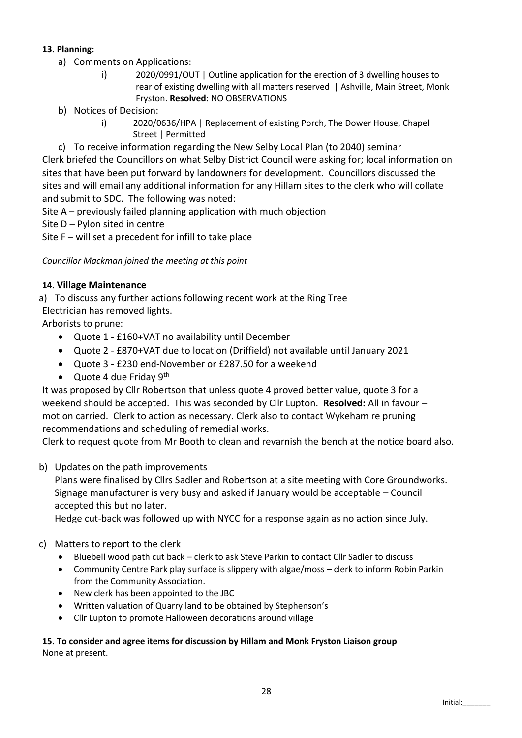# **13. Planning:**

- a) Comments on Applications:
	- i) 2020/0991/OUT | Outline application for the erection of 3 dwelling houses to rear of existing dwelling with all matters reserved | Ashville, Main Street, Monk Fryston. **Resolved:** NO OBSERVATIONS
- b) Notices of Decision:
	- i) 2020/0636/HPA | Replacement of existing Porch, The Dower House, Chapel Street | Permitted

c) To receive information regarding the New Selby Local Plan (to 2040) seminar Clerk briefed the Councillors on what Selby District Council were asking for; local information on sites that have been put forward by landowners for development. Councillors discussed the sites and will email any additional information for any Hillam sites to the clerk who will collate and submit to SDC. The following was noted:

Site A – previously failed planning application with much objection

Site D – Pylon sited in centre

Site F – will set a precedent for infill to take place

*Councillor Mackman joined the meeting at this point*

## **14. Village Maintenance**

a) To discuss any further actions following recent work at the Ring Tree

Electrician has removed lights.

Arborists to prune:

- Quote 1 £160+VAT no availability until December
- Quote 2 £870+VAT due to location (Driffield) not available until January 2021
- Quote 3 £230 end-November or £287.50 for a weekend
- Quote 4 due Friday  $9<sup>th</sup>$

It was proposed by Cllr Robertson that unless quote 4 proved better value, quote 3 for a weekend should be accepted. This was seconded by Cllr Lupton. **Resolved:** All in favour – motion carried. Clerk to action as necessary. Clerk also to contact Wykeham re pruning recommendations and scheduling of remedial works.

Clerk to request quote from Mr Booth to clean and revarnish the bench at the notice board also.

# b) Updates on the path improvements

Plans were finalised by Cllrs Sadler and Robertson at a site meeting with Core Groundworks. Signage manufacturer is very busy and asked if January would be acceptable – Council accepted this but no later.

Hedge cut-back was followed up with NYCC for a response again as no action since July.

# c) Matters to report to the clerk

- Bluebell wood path cut back clerk to ask Steve Parkin to contact Cllr Sadler to discuss
- Community Centre Park play surface is slippery with algae/moss clerk to inform Robin Parkin from the Community Association.
- New clerk has been appointed to the JBC
- Written valuation of Quarry land to be obtained by Stephenson's
- Cllr Lupton to promote Halloween decorations around village

# **15. To consider and agree items for discussion by Hillam and Monk Fryston Liaison group**

None at present.